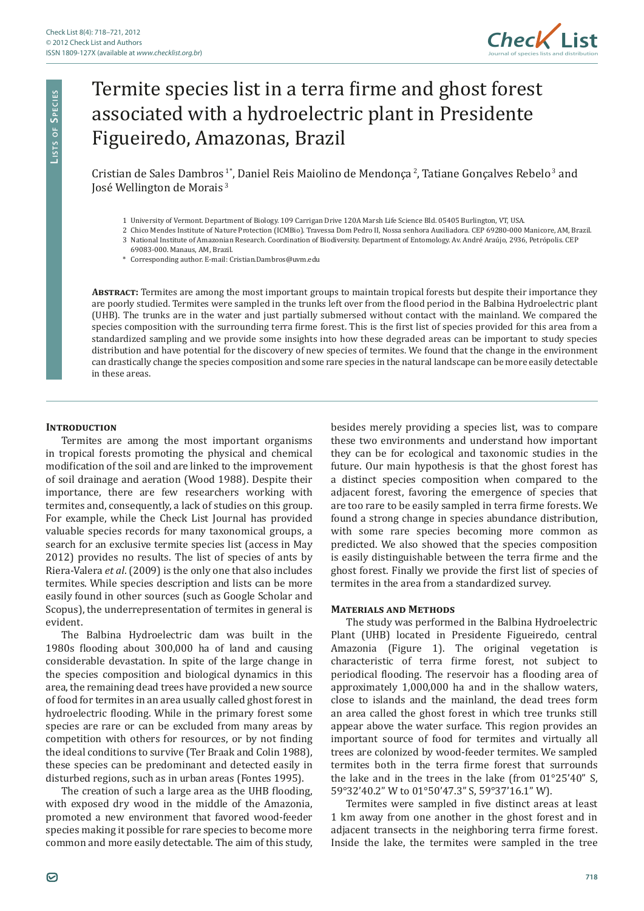

# Termite species list in a terra firme and ghost forest associated with a hydroelectric plant in Presidente Figueiredo, Amazonas, Brazil

Cristian de Sales Dambros<sup>1\*</sup>, Daniel Reis Maiolino de Mendonça<sup>2</sup>, Tatiane Gonçalves Rebelo<sup>3</sup> and Iosé Wellington de Morais<sup>3</sup>

- 1 University of Vermont. Department of Biology. 109 Carrigan Drive 120A Marsh Life Science Bld. 05405 Burlington, VT, USA.
- 2 Chico Mendes Institute of Nature Protection (ICMBio). Travessa Dom Pedro II, Nossa senhora Auxiliadora. CEP 69280-000 Manicore, AM, Brazil.
- 3 National Institute of Amazonian Research. Coordination of Biodiversity. Department of Entomology. Av. André Araújo, 2936, Petrópolis. CEP
- 69083-000. Manaus, AM, Brazil.
- \* Corresponding author. E-mail: Cristian.Dambros@uvm.edu

**Abstract:** Termites are among the most important groups to maintain tropical forests but despite their importance they are poorly studied. Termites were sampled in the trunks left over from the flood period in the Balbina Hydroelectric plant (UHB). The trunks are in the water and just partially submersed without contact with the mainland. We compared the species composition with the surrounding terra firme forest. This is the first list of species provided for this area from a standardized sampling and we provide some insights into how these degraded areas can be important to study species distribution and have potential for the discovery of new species of termites. We found that the change in the environment can drastically change the species composition and some rare species in the natural landscape can be more easily detectable in these areas.

## **INTRODUCTION**

**Li s t s o f Sp e c i e s**

LISTS OF SPECIES

Termites are among the most important organisms in tropical forests promoting the physical and chemical modification of the soil and are linked to the improvement of soil drainage and aeration (Wood 1988). Despite their importance, there are few researchers working with termites and, consequently, a lack of studies on this group. For example, while the Check List Journal has provided valuable species records for many taxonomical groups, a search for an exclusive termite species list (access in May 2012) provides no results. The list of species of ants by Riera-Valera *et al*. (2009) is the only one that also includes termites. While species description and lists can be more easily found in other sources (such as Google Scholar and Scopus), the underrepresentation of termites in general is evident.

The Balbina Hydroelectric dam was built in the 1980s flooding about 300,000 ha of land and causing considerable devastation. In spite of the large change in the species composition and biological dynamics in this area, the remaining dead trees have provided a new source of food for termites in an area usually called ghost forest in hydroelectric flooding. While in the primary forest some species are rare or can be excluded from many areas by competition with others for resources, or by not finding the ideal conditions to survive (Ter Braak and Colin 1988), these species can be predominant and detected easily in disturbed regions, such as in urban areas (Fontes 1995).

The creation of such a large area as the UHB flooding, with exposed dry wood in the middle of the Amazonia, promoted a new environment that favored wood-feeder species making it possible for rare species to become more common and more easily detectable. The aim of this study, besides merely providing a species list, was to compare these two environments and understand how important they can be for ecological and taxonomic studies in the future. Our main hypothesis is that the ghost forest has a distinct species composition when compared to the adjacent forest, favoring the emergence of species that are too rare to be easily sampled in terra firme forests. We found a strong change in species abundance distribution, with some rare species becoming more common as predicted. We also showed that the species composition is easily distinguishable between the terra firme and the ghost forest. Finally we provide the first list of species of termites in the area from a standardized survey.

#### **Materials and Methods**

The study was performed in the Balbina Hydroelectric Plant (UHB) located in Presidente Figueiredo, central Amazonia (Figure 1). The original vegetation is characteristic of terra firme forest, not subject to periodical flooding. The reservoir has a flooding area of approximately 1,000,000 ha and in the shallow waters, close to islands and the mainland, the dead trees form an area called the ghost forest in which tree trunks still appear above the water surface. This region provides an important source of food for termites and virtually all trees are colonized by wood-feeder termites. We sampled termites both in the terra firme forest that surrounds the lake and in the trees in the lake (from 01°25'40" S, 59°32'40.2" W to 01°50'47.3" S, 59°37'16.1" W).

Termites were sampled in five distinct areas at least 1 km away from one another in the ghost forest and in adjacent transects in the neighboring terra firme forest. Inside the lake, the termites were sampled in the tree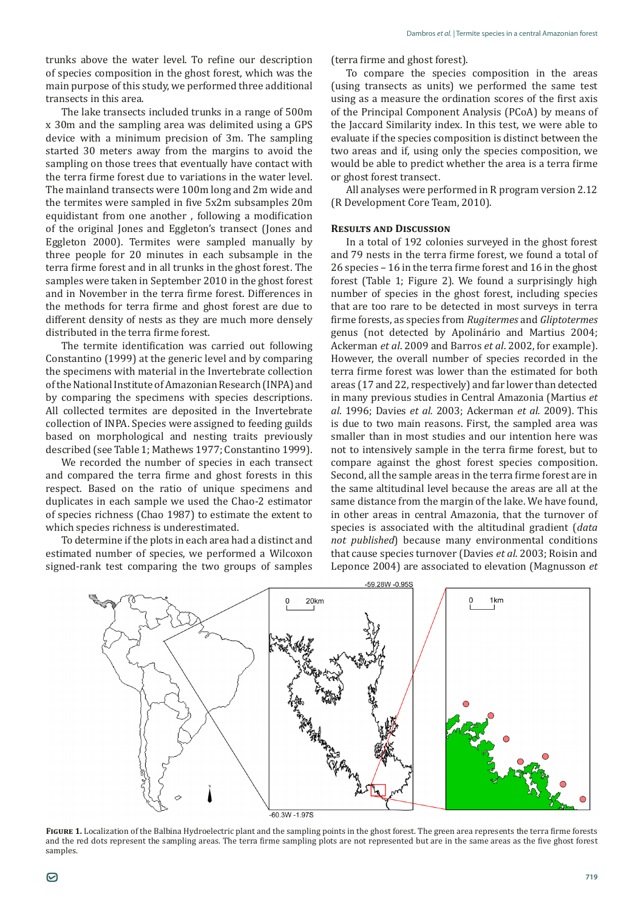trunks above the water level. To refine our description of species composition in the ghost forest, which was the main purpose of this study, we performed three additional transects in this area.

The lake transects included trunks in a range of 500m x 30m and the sampling area was delimited using a GPS device with a minimum precision of 3m. The sampling started 30 meters away from the margins to avoid the sampling on those trees that eventually have contact with the terra firme forest due to variations in the water level. The mainland transects were 100m long and 2m wide and the termites were sampled in five 5x2m subsamples 20m equidistant from one another , following a modification of the original Jones and Eggleton's transect (Jones and Eggleton 2000). Termites were sampled manually by three people for 20 minutes in each subsample in the terra firme forest and in all trunks in the ghost forest. The samples were taken in September 2010 in the ghost forest and in November in the terra firme forest. Differences in the methods for terra firme and ghost forest are due to different density of nests as they are much more densely distributed in the terra firme forest.

The termite identification was carried out following Constantino (1999) at the generic level and by comparing the specimens with material in the Invertebrate collection of the National Institute of Amazonian Research (INPA) and by comparing the specimens with species descriptions. All collected termites are deposited in the Invertebrate collection of INPA. Species were assigned to feeding guilds based on morphological and nesting traits previously described (see Table 1; Mathews 1977; Constantino 1999).

We recorded the number of species in each transect and compared the terra firme and ghost forests in this respect. Based on the ratio of unique specimens and duplicates in each sample we used the Chao-2 estimator of species richness (Chao 1987) to estimate the extent to which species richness is underestimated.

To determine if the plots in each area had a distinct and estimated number of species, we performed a Wilcoxon signed-rank test comparing the two groups of samples (terra firme and ghost forest).

To compare the species composition in the areas (using transects as units) we performed the same test using as a measure the ordination scores of the first axis of the Principal Component Analysis (PCoA) by means of the Jaccard Similarity index. In this test, we were able to evaluate if the species composition is distinct between the two areas and if, using only the species composition, we would be able to predict whether the area is a terra firme or ghost forest transect.

All analyses were performed in R program version 2.12 (R Development Core Team, 2010).

### **Results and Discussion**

In a total of 192 colonies surveyed in the ghost forest and 79 nests in the terra firme forest, we found a total of 26 species – 16 in the terra firme forest and 16 in the ghost forest (Table 1; Figure 2). We found a surprisingly high number of species in the ghost forest, including species that are too rare to be detected in most surveys in terra firme forests, as species from *Rugitermes* and *Gliptotermes* genus (not detected by Apolinário and Martius 2004; Ackerman *et al*. 2009 and Barros *et al*. 2002, for example). However, the overall number of species recorded in the terra firme forest was lower than the estimated for both areas (17 and 22, respectively) and far lower than detected in many previous studies in Central Amazonia (Martius *et al*. 1996; Davies *et al.* 2003; Ackerman *et al.* 2009). This is due to two main reasons. First, the sampled area was smaller than in most studies and our intention here was not to intensively sample in the terra firme forest, but to compare against the ghost forest species composition. Second, all the sample areas in the terra firme forest are in the same altitudinal level because the areas are all at the same distance from the margin of the lake. We have found, in other areas in central Amazonia, that the turnover of species is associated with the altitudinal gradient (*data not published*) because many environmental conditions that cause species turnover (Davies *et al.* 2003; Roisin and Leponce 2004) are associated to elevation (Magnusson *et* 



**Figure 1.** Localization of the Balbina Hydroelectric plant and the sampling points in the ghost forest. The green area represents the terra firme forests and the red dots represent the sampling areas. The terra firme sampling plots are not represented but are in the same areas as the five ghost forest samples.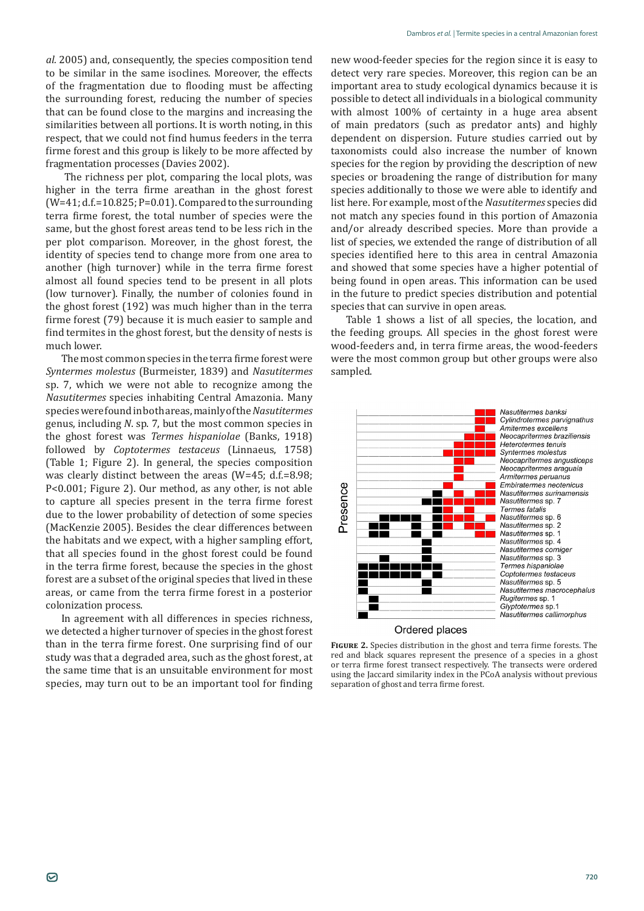*al.* 2005) and, consequently, the species composition tend to be similar in the same isoclines. Moreover, the effects of the fragmentation due to flooding must be affecting the surrounding forest, reducing the number of species that can be found close to the margins and increasing the similarities between all portions. It is worth noting, in this respect, that we could not find humus feeders in the terra firme forest and this group is likely to be more affected by fragmentation processes (Davies 2002).

 The richness per plot, comparing the local plots, was higher in the terra firme areathan in the ghost forest  $(W=41; d.f.=10.825; P=0.01)$ . Compared to the surrounding terra firme forest, the total number of species were the same, but the ghost forest areas tend to be less rich in the per plot comparison. Moreover, in the ghost forest, the identity of species tend to change more from one area to another (high turnover) while in the terra firme forest almost all found species tend to be present in all plots (low turnover). Finally, the number of colonies found in the ghost forest (192) was much higher than in the terra firme forest (79) because it is much easier to sample and find termites in the ghost forest, but the density of nests is much lower.

The most common species in the terra firme forest were *Syntermes molestus* (Burmeister, 1839) and *Nasutitermes* sp. 7, which we were not able to recognize among the *Nasutitermes* species inhabiting Central Amazonia. Many species were found in both areas, mainly of the *Nasutitermes* genus, including *N*. sp. 7, but the most common species in the ghost forest was *Termes hispaniolae* (Banks, 1918) followed by *Coptotermes testaceus* (Linnaeus, 1758) (Table 1; Figure 2). In general, the species composition was clearly distinct between the areas (W=45; d.f.=8.98; P<0.001; Figure 2). Our method, as any other, is not able to capture all species present in the terra firme forest due to the lower probability of detection of some species (MacKenzie 2005). Besides the clear differences between the habitats and we expect, with a higher sampling effort, that all species found in the ghost forest could be found in the terra firme forest, because the species in the ghost forest are a subset of the original species that lived in these areas, or came from the terra firme forest in a posterior colonization process.

In agreement with all differences in species richness, we detected a higher turnover of species in the ghost forest than in the terra firme forest. One surprising find of our study was that a degraded area, such as the ghost forest, at the same time that is an unsuitable environment for most species, may turn out to be an important tool for finding new wood-feeder species for the region since it is easy to detect very rare species. Moreover, this region can be an important area to study ecological dynamics because it is possible to detect all individuals in a biological community with almost 100% of certainty in a huge area absent of main predators (such as predator ants) and highly dependent on dispersion. Future studies carried out by taxonomists could also increase the number of known species for the region by providing the description of new species or broadening the range of distribution for many species additionally to those we were able to identify and list here. For example, most of the *Nasutitermes* species did not match any species found in this portion of Amazonia and/or already described species. More than provide a list of species, we extended the range of distribution of all species identified here to this area in central Amazonia and showed that some species have a higher potential of being found in open areas. This information can be used in the future to predict species distribution and potential species that can survive in open areas.

Table 1 shows a list of all species, the location, and the feeding groups. All species in the ghost forest were wood-feeders and, in terra firme areas, the wood-feeders were the most common group but other groups were also sampled.



**Figure 2.** Species distribution in the ghost and terra firme forests. The red and black squares represent the presence of a species in a ghost or terra firme forest transect respectively. The transects were ordered using the Jaccard similarity index in the PCoA analysis without previous separation of ghost and terra firme forest.